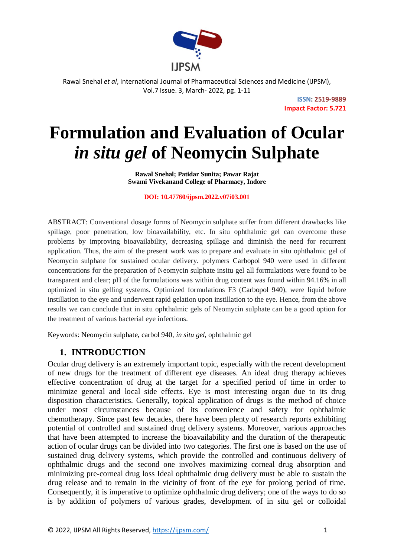

> **ISSN: 2519-9889 Impact Factor: 5.721**

# **Formulation and Evaluation of Ocular** *in situ gel* **of Neomycin Sulphate**

**Rawal Snehal; Patidar Sunita; Pawar Rajat Swami Vivekanand College of Pharmacy, Indore**

**DOI: 10.47760/ijpsm.2022.v07i03.001**

ABSTRACT: Conventional dosage forms of Neomycin sulphate suffer from different drawbacks like spillage, poor penetration, low bioavailability, etc. In situ ophthalmic gel can overcome these problems by improving bioavailability, decreasing spillage and diminish the need for recurrent application. Thus, the aim of the present work was to prepare and evaluate in situ ophthalmic gel of Neomycin sulphate for sustained ocular delivery. polymers Carbopol 940 were used in different concentrations for the preparation of Neomycin sulphate insitu gel all formulations were found to be transparent and clear; pH of the formulations was within drug content was found within 94.16% in all optimized in situ gelling systems. Optimized formulations F3 (Carbopol 940), were liquid before instillation to the eye and underwent rapid gelation upon instillation to the eye. Hence, from the above results we can conclude that in situ ophthalmic gels of Neomycin sulphate can be a good option for the treatment of various bacterial eye infections.

Keywords: Neomycin sulphate, carbol 940, *in situ gel,* ophthalmic gel

# **1. INTRODUCTION**

Ocular drug delivery is an extremely important topic, especially with the recent development of new drugs for the treatment of different eye diseases. An ideal drug therapy achieves effective concentration of drug at the target for a specified period of time in order to minimize general and local side effects. Eye is most interesting organ due to its drug disposition characteristics. Generally, topical application of drugs is the method of choice under most circumstances because of its convenience and safety for ophthalmic chemotherapy. Since past few decades, there have been plenty of research reports exhibiting potential of controlled and sustained drug delivery systems. Moreover, various approaches that have been attempted to increase the bioavailability and the duration of the therapeutic action of ocular drugs can be divided into two categories. The first one is based on the use of sustained drug delivery systems, which provide the controlled and continuous delivery of ophthalmic drugs and the second one involves maximizing corneal drug absorption and minimizing pre-corneal drug loss Ideal ophthalmic drug delivery must be able to sustain the drug release and to remain in the vicinity of front of the eye for prolong period of time. Consequently, it is imperative to optimize ophthalmic drug delivery; one of the ways to do so is by addition of polymers of various grades, development of in situ gel or colloidal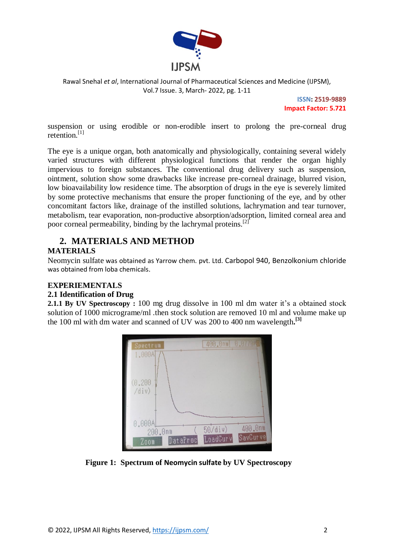

> **ISSN: 2519-9889 Impact Factor: 5.721**

suspension or using erodible or non-erodible insert to prolong the pre-corneal drug retention.<sup>[1]</sup>

The eye is a unique organ, both anatomically and physiologically, containing several widely varied structures with different physiological functions that render the organ highly impervious to foreign substances. The conventional drug delivery such as suspension, ointment, solution show some drawbacks like increase pre-corneal drainage, blurred vision, low bioavailability low residence time. The absorption of drugs in the eye is severely limited by some protective mechanisms that ensure the proper functioning of the eye, and by other concomitant factors like, drainage of the instilled solutions, lachrymation and tear turnover, metabolism, tear evaporation, non-productive absorption/adsorption, limited corneal area and poor corneal permeability, binding by the lachrymal proteins.[2]

## **2. MATERIALS AND METHOD MATERIALS**

Neomycin sulfate was obtained as Yarrow chem. pvt. Ltd. Carbopol 940, Benzolkonium chloride was obtained from loba chemicals.

#### **EXPERIEMENTALS**

#### **2.1 Identification of Drug**

**2.1.1 By UV Spectroscopy :** 100 mg drug dissolve in 100 ml dm water it's a obtained stock solution of 1000 micrograme/ml .then stock solution are removed 10 ml and volume make up the 100 ml with dm water and scanned of UV was 200 to 400 nm wavelength**. [3]**



 **Figure 1: Spectrum of Neomycin sulfate by UV Spectroscopy**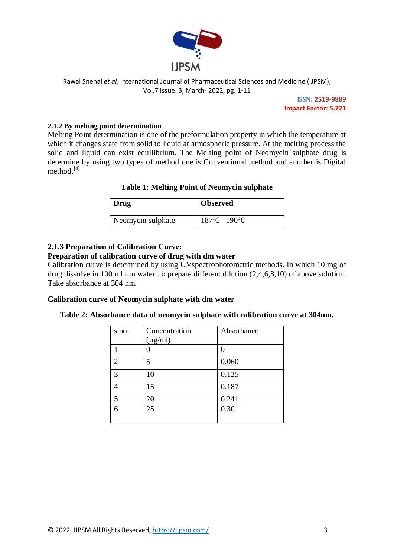

> **ISSN: 2519-9889 Impact Factor: 5.721**

#### **2.1.2 By melting point determination**

Melting Point determination is one of the preformulation property in which the temperature at which it changes state from solid to liquid at atmospheric pressure. At the melting process the solid and liquid can exist equilibrium. The Melting point of Neomycin sulphate drug is determine by using two types of method one is Conventional method and another is Digital method**. [4]**

#### **Table 1: Melting Point of Neomycin sulphate**

| Drug              | <b>Observed</b>                  |
|-------------------|----------------------------------|
| Neomycin sulphate | $187^{\circ}$ C- $190^{\circ}$ C |

#### **2.1.3 Preparation of Calibration Curve:**

#### **Preparation of calibration curve of drug with dm water**

Calibration curve is determined by using UVspectrophotometric methods. In which 10 mg of drug dissolve in 100 ml dm water .to prepare different dilution (2,4,6,8,10) of above solution. Take absorbance at 304 nm**.**

#### **Calibration curve of Neomycin sulphate with dm water**

| s.no.          | Concentration<br>$(\mu g/ml)$ | Absorbance |
|----------------|-------------------------------|------------|
|                |                               |            |
| $\mathfrak{D}$ | 5                             | 0.060      |
| 3              | 10                            | 0.125      |
|                | 15                            | 0.187      |
| 5              | 20                            | 0.241      |
| 6              | 25                            | 0.30       |

#### **Table 2: Absorbance data of neomycin sulphate with calibration curve at 304nm.**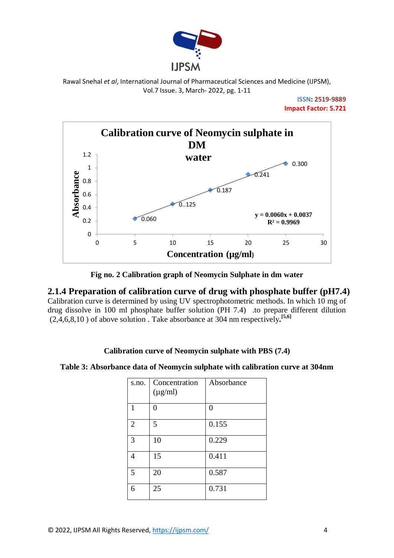

> **ISSN: 2519-9889 Impact Factor: 5.721**



**Fig no. 2 Calibration graph of Neomycin Sulphate in dm water**

**2.1.4 Preparation of calibration curve of drug with phosphate buffer (pH7.4)** Calibration curve is determined by using UV spectrophotometric methods. In which 10 mg of drug dissolve in 100 ml phosphate buffer solution (PH 7.4) .to prepare different dilution

(2,4,6,8,10 ) of above solution . Take absorbance at 304 nm respectively**. [5,6]**

#### **Calibration curve of Neomycin sulphate with PBS (7.4)**

| Table 3: Absorbance data of Neomycin sulphate with calibration curve at 304nm |  |  |  |  |  |  |
|-------------------------------------------------------------------------------|--|--|--|--|--|--|
|-------------------------------------------------------------------------------|--|--|--|--|--|--|

| s.no.          | Concentration<br>$(\mu g/ml)$ | Absorbance |
|----------------|-------------------------------|------------|
| 1              | ∩                             | 0          |
| $\overline{2}$ | 5                             | 0.155      |
| 3              | 10                            | 0.229      |
| 4              | 15                            | 0.411      |
| 5              | 20                            | 0.587      |
| 6              | 25                            | 0.731      |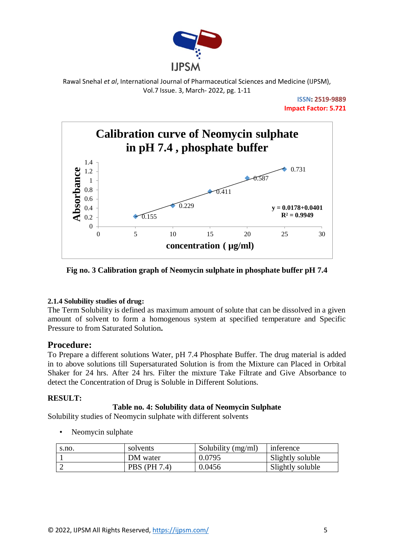

> **ISSN: 2519-9889 Impact Factor: 5.721**



**Fig no. 3 Calibration graph of Neomycin sulphate in phosphate buffer pH 7.4**

#### **2.1.4 Solubility studies of drug:**

The Term Solubility is defined as maximum amount of solute that can be dissolved in a given amount of solvent to form a homogenous system at specified temperature and Specific Pressure to from Saturated Solution**.**

# **Procedure:**

To Prepare a different solutions Water, pH 7.4 Phosphate Buffer. The drug material is added in to above solutions till Supersaturated Solution is from the Mixture can Placed in Orbital Shaker for 24 hrs. After 24 hrs. Filter the mixture Take Filtrate and Give Absorbance to detect the Concentration of Drug is Soluble in Different Solutions.

#### **RESULT:**

#### **Table no. 4: Solubility data of Neomycin Sulphate**

Solubility studies of Neomycin sulphate with different solvents

• Neomycin sulphate

| s.no. | solvents            | Solubility $(mg/ml)$ | inference        |
|-------|---------------------|----------------------|------------------|
|       | DM water            | 0.0795               | Slightly soluble |
|       | <b>PBS</b> (PH 7.4) | 0.0456               | Slightly soluble |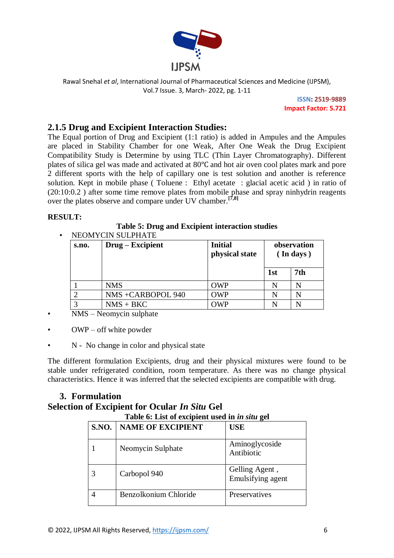

> **ISSN: 2519-9889 Impact Factor: 5.721**

# **2.1.5 Drug and Excipient Interaction Studies:**

The Equal portion of Drug and Excipient (1:1 ratio) is added in Ampules and the Ampules are placed in Stability Chamber for one Weak, After One Weak the Drug Excipient Compatibility Study is Determine by using TLC (Thin Layer Chromatography). Different plates of silica gel was made and activated at 80℃ and hot air oven cool plates mark and pore 2 different sports with the help of capillary one is test solution and another is reference solution. Kept in mobile phase ( Toluene : Ethyl acetate : glacial acetic acid ) in ratio of (20:10:0.2 ) after some time remove plates from mobile phase and spray ninhydrin reagents over the plates observe and compare under UV chamber.**[7,8]**

#### **RESULT:**

#### **Table 5: Drug and Excipient interaction studies**

| s.no. | Drug – Excipient  | <b>Initial</b><br>observation<br>physical state<br>$($ In days) |     |     |
|-------|-------------------|-----------------------------------------------------------------|-----|-----|
|       |                   |                                                                 | 1st | 7th |
|       | <b>NMS</b>        | <b>OWP</b>                                                      | N   | N   |
|       | NMS +CARBOPOL 940 | <b>OWP</b>                                                      | N   | N   |
|       | $NMS + BKC$       | OWP                                                             | N   | N   |

NEOMYCIN SULPHATE

- NMS Neomycin sulphate
- $OWP off$  white powder
- N No change in color and physical state

The different formulation Excipients, drug and their physical mixtures were found to be stable under refrigerated condition, room temperature. As there was no change physical characteristics. Hence it was inferred that the selected excipients are compatible with drug.

# **3. Formulation**

# **Selection of Excipient for Ocular** *In Situ* **Gel**

| Table 6: List of excipient used in in situ gel |                          |                                     |  |
|------------------------------------------------|--------------------------|-------------------------------------|--|
| <b>S.NO.</b>                                   | <b>NAME OF EXCIPIENT</b> | <b>USE</b>                          |  |
|                                                | Neomycin Sulphate        | Aminoglycoside<br>Antibiotic        |  |
|                                                | Carbopol 940             | Gelling Agent,<br>Emulsifying agent |  |
|                                                | Benzolkonium Chloride    | Preservatives                       |  |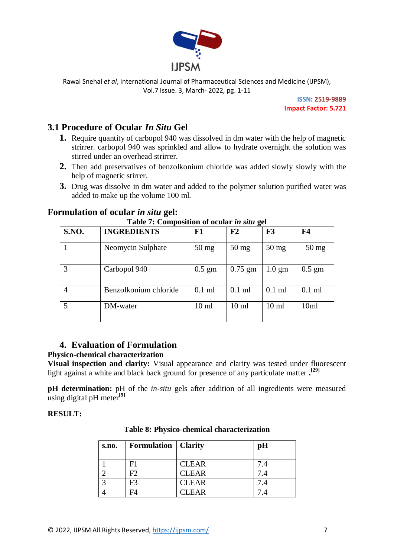

> **ISSN: 2519-9889 Impact Factor: 5.721**

# **3.1 Procedure of Ocular** *In Situ* **Gel**

- **1.** Require quantity of carbopol 940 was dissolved in dm water with the help of magnetic strirrer. carbopol 940 was sprinkled and allow to hydrate overnight the solution was stirred under an overhead strirrer.
- **2.** Then add preservatives of benzolkonium chloride was added slowly slowly with the help of magnetic stirrer.
- **3.** Drug was dissolve in dm water and added to the polymer solution purified water was added to make up the volume 100 ml.

# **Formulation of ocular** *in situ* **gel:**

| <b>S.NO.</b>   | <b>INGREDIENTS</b>    | F1              | F2               | F3               | F <sub>4</sub>   |
|----------------|-----------------------|-----------------|------------------|------------------|------------------|
|                | Neomycin Sulphate     | $50 \text{ mg}$ | $50 \text{ mg}$  | $50 \text{ mg}$  | $50 \text{ mg}$  |
| $\overline{3}$ | Carbopol 940          | $0.5$ gm        | $0.75$ gm        | $1.0 \text{ gm}$ | $0.5$ gm         |
| $\overline{4}$ | Benzolkonium chloride | $0.1$ ml        | $0.1$ ml         | $0.1$ ml         | $0.1$ ml         |
|                | DM-water              | $10 \text{ ml}$ | 10 <sub>ml</sub> | 10 <sub>ml</sub> | 10 <sub>ml</sub> |

#### **Table 7: Composition of ocular** *in situ* **gel**

# **4. Evaluation of Formulation**

#### **Physico-chemical characterization**

**Visual inspection and clarity:** Visual appearance and clarity was tested under fluorescent light against a white and black back ground for presence of any particulate matter **. [29]**

**pH determination:** pH of the *in-situ* gels after addition of all ingredients were measured using digital pH meter**[9]**

#### **RESULT:**

| s.no. | <b>Formulation</b>   Clarity |              | pH  |
|-------|------------------------------|--------------|-----|
|       |                              | <b>CLEAR</b> | 7.4 |
|       | F2                           | <b>CLEAR</b> | 7.4 |
|       | F <sub>3</sub>               | <b>CLEAR</b> | 7.4 |
|       |                              | <b>CLEAR</b> |     |

**Table 8: Physico-chemical characterization**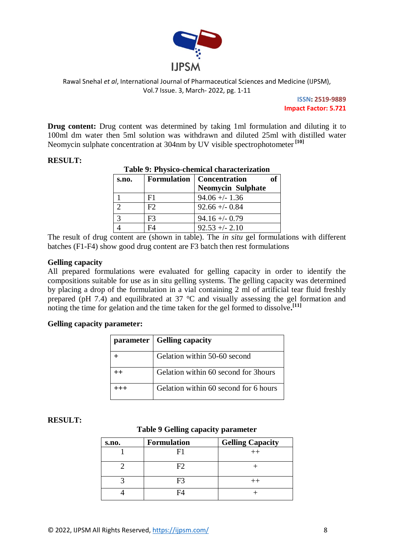

> **ISSN: 2519-9889 Impact Factor: 5.721**

**Drug content:** Drug content was determined by taking 1ml formulation and diluting it to 100ml dm water then 5ml solution was withdrawn and diluted 25ml with distilled water Neomycin sulphate concentration at 304nm by UV visible spectrophotometer **[10]**

| Table 9: Physico-chemical characterization |    |                                    |  |
|--------------------------------------------|----|------------------------------------|--|
| s.no.                                      |    | <b>Formulation</b>   Concentration |  |
|                                            |    | <b>Neomycin Sulphate</b>           |  |
|                                            | F1 | $94.06 + - 1.36$                   |  |
|                                            | F2 | $92.66 + - 0.84$                   |  |
|                                            | F3 | $94.16 + (-0.79)$                  |  |
|                                            |    | $92.53 + - 2.10$                   |  |

#### **RESULT:**

The result of drug content are (shown in table). The *in situ* gel formulations with different batches (F1-F4) show good drug content are F3 batch then rest formulations

#### **Gelling capacity**

All prepared formulations were evaluated for gelling capacity in order to identify the compositions suitable for use as in situ gelling systems. The gelling capacity was determined by placing a drop of the formulation in a vial containing 2 ml of artificial tear fluid freshly prepared (pH 7.4) and equilibrated at 37 °C and visually assessing the gel formation and noting the time for gelation and the time taken for the gel formed to dissolve**. [11]**

#### **Gelling capacity parameter:**

| parameter   Gelling capacity          |
|---------------------------------------|
| Gelation within 50-60 second          |
| Gelation within 60 second for 3 hours |
| Gelation within 60 second for 6 hours |

#### **RESULT:**

#### **Table 9 Gelling capacity parameter**

| s.no. | <b>Formulation</b> | <b>Gelling Capacity</b> |
|-------|--------------------|-------------------------|
|       |                    | $^{++}$                 |
|       | FY)                |                         |
|       | н.                 |                         |
|       |                    |                         |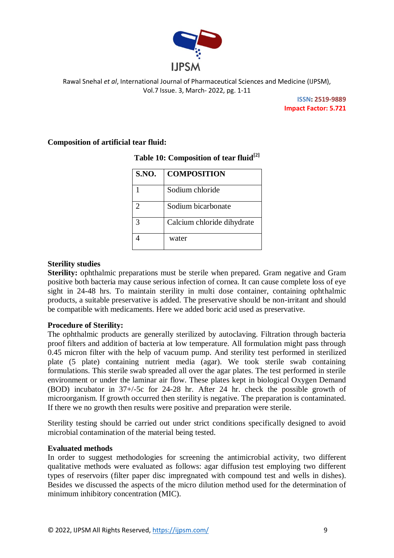

> **ISSN: 2519-9889 Impact Factor: 5.721**

#### **Composition of artificial tear fluid:**

| <b>S.NO.</b> | <b>COMPOSITION</b>         |
|--------------|----------------------------|
|              | Sodium chloride            |
|              | Sodium bicarbonate         |
|              | Calcium chloride dihydrate |
|              | water                      |

## **Table 10: Composition of tear fluid[2]**

#### **Sterility studies**

**Sterility:** ophthalmic preparations must be sterile when prepared. Gram negative and Gram positive both bacteria may cause serious infection of cornea. It can cause complete loss of eye sight in 24-48 hrs. To maintain sterility in multi dose container, containing ophthalmic products, a suitable preservative is added. The preservative should be non-irritant and should be compatible with medicaments. Here we added boric acid used as preservative.

#### **Procedure of Sterility:**

The ophthalmic products are generally sterilized by autoclaving. Filtration through bacteria proof filters and addition of bacteria at low temperature. All formulation might pass through 0.45 micron filter with the help of vacuum pump. And sterility test performed in sterilized plate (5 plate) containing nutrient media (agar). We took sterile swab containing formulations. This sterile swab spreaded all over the agar plates. The test performed in sterile environment or under the laminar air flow. These plates kept in biological Oxygen Demand (BOD) incubator in 37+/-5c for 24-28 hr. After 24 hr. check the possible growth of microorganism. If growth occurred then sterility is negative. The preparation is contaminated. If there we no growth then results were positive and preparation were sterile.

Sterility testing should be carried out under strict conditions specifically designed to avoid microbial contamination of the material being tested.

#### **Evaluated methods**

In order to suggest methodologies for screening the antimicrobial activity, two different qualitative methods were evaluated as follows: agar diffusion test employing two different types of reservoirs (filter paper disc impregnated with compound test and wells in dishes). Besides we discussed the aspects of the micro dilution method used for the determination of minimum inhibitory concentration (MIC).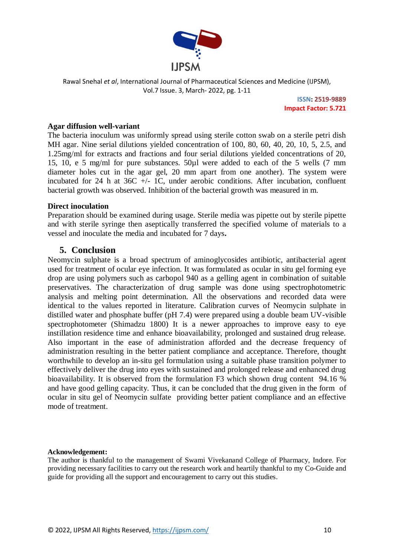

> **ISSN: 2519-9889 Impact Factor: 5.721**

#### **Agar diffusion well-variant**

The bacteria inoculum was uniformly spread using sterile cotton swab on a sterile petri dish MH agar. Nine serial dilutions yielded concentration of 100, 80, 60, 40, 20, 10, 5, 2.5, and 1.25mg/ml for extracts and fractions and four serial dilutions yielded concentrations of 20, 15, 10, e 5 mg/ml for pure substances. 50µl were added to each of the 5 wells (7 mm diameter holes cut in the agar gel, 20 mm apart from one another). The system were incubated for 24 h at  $36C$  +/- 1C, under aerobic conditions. After incubation, confluent bacterial growth was observed. Inhibition of the bacterial growth was measured in m.

#### **Direct inoculation**

Preparation should be examined during usage. Sterile media was pipette out by sterile pipette and with sterile syringe then aseptically transferred the specified volume of materials to a vessel and inoculate the media and incubated for 7 days**.**

#### **5. Conclusion**

Neomycin sulphate is a broad spectrum of aminoglycosides antibiotic, antibacterial agent used for treatment of ocular eye infection. It was formulated as ocular in situ gel forming eye drop are using polymers such as carbopol 940 as a gelling agent in combination of suitable preservatives. The characterization of drug sample was done using spectrophotometric analysis and melting point determination. All the observations and recorded data were identical to the values reported in literature. Calibration curves of Neomycin sulphate in distilled water and phosphate buffer (pH 7.4) were prepared using a double beam UV-visible spectrophotometer (Shimadzu 1800) It is a newer approaches to improve easy to eye instillation residence time and enhance bioavailability, prolonged and sustained drug release. Also important in the ease of administration afforded and the decrease frequency of administration resulting in the better patient compliance and acceptance. Therefore, thought worthwhile to develop an in-situ gel formulation using a suitable phase transition polymer to effectively deliver the drug into eyes with sustained and prolonged release and enhanced drug bioavailability. It is observed from the formulation F3 which shown drug content 94.16 % and have good gelling capacity. Thus, it can be concluded that the drug given in the form of ocular in situ gel of Neomycin sulfate providing better patient compliance and an effective mode of treatment.

#### **Acknowledgement:**

The author is thankful to the management of Swami Vivekanand College of Pharmacy, Indore. For providing necessary facilities to carry out the research work and heartily thankful to my Co-Guide and guide for providing all the support and encouragement to carry out this studies.